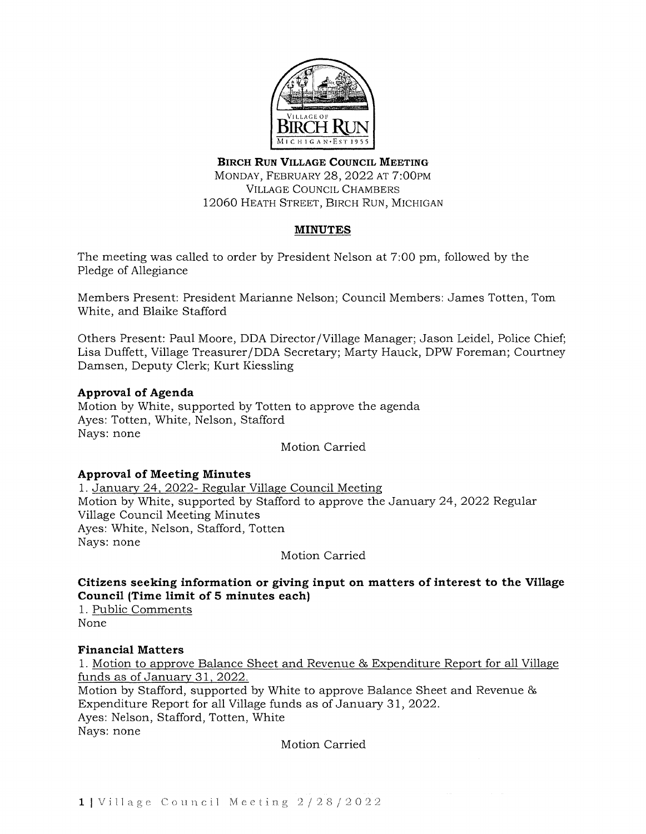

**BIRCH RUN VILLAGE COUNCIL MEETING**  MONDAY, FEBRUARY 28, 2022 AT 7:00PM VILLAGE COUNCIL CHAMBERS 12060 HEATH STREET, BIRCH RUN, MICHIGAN

# **MINUTES**

The meeting was called to order by President Nelson at 7:00 pm, followed by the Pledge of Allegiance

Members Present: President Marianne Nelson; Council Members: James Totten, Tom White, and Blaike Stafford

Others Present: Paul Moore, DDA Director /Village Manager; Jason Leidel, Police Chief; Lisa Duffett, Village Treasurer /DDA Secretary; Marty Hauck, DPW Foreman; Courtney Damsen, Deputy Clerk; Kurt Kiessling

# **Approval of Agenda**

Motion by White, supported by Totten to approve the agenda Ayes: Totten, White, Nelson, Stafford Nays: none

# Motion Carried

### **Approval of Meeting Minutes**

1. January 24, 2022- Regular Village Council Meeting Motion by White, supported by Stafford to approve the January 24, 2022 Regular Village Council Meeting Minutes Ayes: White, Nelson, Stafford, Totten Nays: none

Motion Carried

**Citizens seeking information or giving input on matters of interest to the Village Council (Time limit of 5 minutes each)** 

1. Public Comments None

### **Financial Matters**

1. Motion to approve Balance Sheet and Revenue & Expenditure Report for all Village funds as of January 31, 2022. Motion by Stafford, supported by White to approve Balance Sheet and Revenue & Expenditure Report for all Village funds as of January 31, 2022. Ayes: Nelson, Stafford, Totten, White

Nays: none

Motion Carried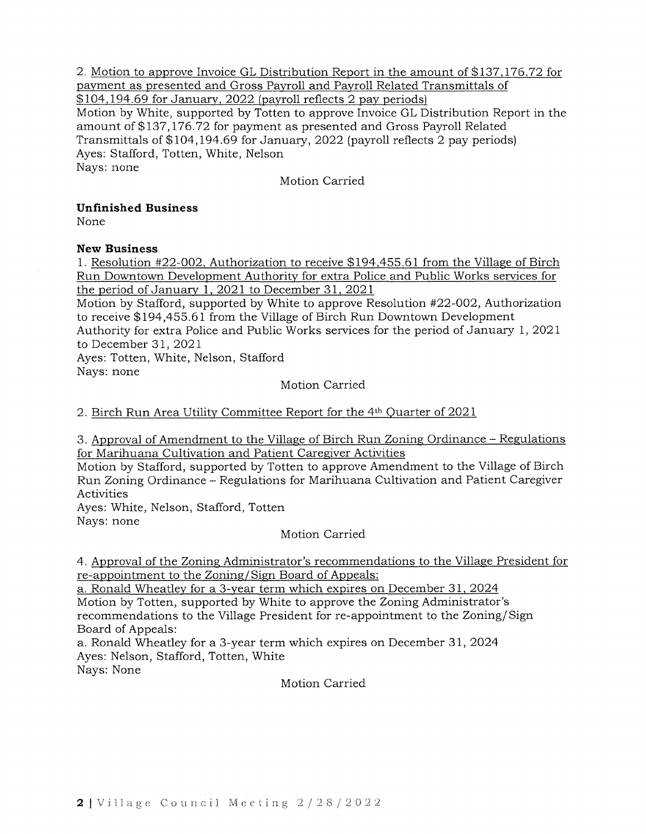2. Motion to approve Invoice GL Distribution Report in the amount of \$137,176.72 for payment as presented and Gross Payroll and Payroll Related Transmittals of \$104,194.69 for January, 2022 (payroll reflects 2 pay periods)

Motion by White, supported by Totten to approve Invoice GL Distribution Report in the amount of \$137,176.72 for payment as presented and Gross Payroll Related Transmittals of \$104,194.69 for January, 2022 (payroll reflects 2 pay periods) Ayes: Stafford, Totten, White, Nelson Nays: none

Motion Carried

# **Unfinished Business**

None

# **New Business**

1. Resolution #22-002, Authorization to receive \$194,455.61 from the Village of Birch Run Downtown Development Authority for extra Police and Public Works services for the period of January 1, 2021 to December 31, 2021

Motion by Stafford, supported by White to approve Resolution #22-002, Authorization to receive \$194,455.61 from the Village of Birch Run Downtown Development

Authority for extra Police and Public Works services for the period of January 1, 2021 to December 31, 2021

Ayes: Totten, White, Nelson, Stafford Nays: none

Motion Carried

2. Birch Run Area Utility Committee Report for the 4th Quarter of 2021

3. Approval of Amendment to the Village of Birch Run Zoning Ordinance - Regulations for Marihuana Cultivation and Patient Caregiver Activities

Motion by Stafford, supported by Totten to approve Amendment to the Village of Birch Run Zoning Ordinance - Regulations for Marihuana Cultivation and Patient Caregiver Activities

Ayes: White, Nelson, Stafford, Totten Nays: none

Motion Carried

4. Approval of the Zoning Administrator's recommendations to the Village President for re-appointment to the Zoning/Sign Board of Appeals:

a. Ronald Wheatley for a 3-year term which expires on December 31, 2024 Motion by Totten, supported by White to approve the Zoning Administrator's recommendations to the Village President for re-appointment to the Zoning/Sign Board of Appeals:

a. Ronald Wheatley for a 3-year term which expires on December 31, 2024 Ayes: Nelson, Stafford, Totten, White Nays: None

Motion Carried